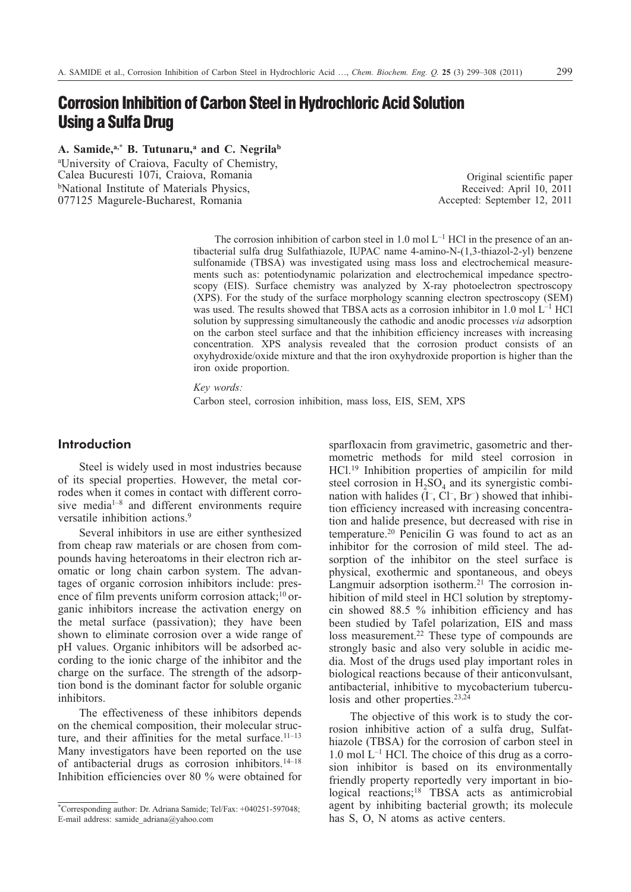# **Corrosion Inhibition of Carbon Steel in Hydrochloric Acid Solution Using a Sulfa Drug**

A. Samide,<sup>a,\*</sup> B. Tutunaru,<sup>a</sup> and C. Negrila<sup>b</sup>

a University of Craiova, Faculty of Chemistry, Calea Bucuresti 107i, Craiova, Romania **bNational Institute of Materials Physics,** 077125 Magurele-Bucharest, Romania

Original scientific paper Received: April 10, 2011 Accepted: September 12, 2011

The corrosion inhibition of carbon steel in 1.0 mol  $L^{-1}$  HCl in the presence of an antibacterial sulfa drug Sulfathiazole, IUPAC name 4-amino-N-(1,3-thiazol-2-yl) benzene sulfonamide (TBSA) was investigated using mass loss and electrochemical measurements such as: potentiodynamic polarization and electrochemical impedance spectroscopy (EIS). Surface chemistry was analyzed by X-ray photoelectron spectroscopy (XPS). For the study of the surface morphology scanning electron spectroscopy (SEM) was used. The results showed that TBSA acts as a corrosion inhibitor in 1.0 mol L–1 HCl solution by suppressing simultaneously the cathodic and anodic processes *via* adsorption on the carbon steel surface and that the inhibition efficiency increases with increasing concentration. XPS analysis revealed that the corrosion product consists of an oxyhydroxide/oxide mixture and that the iron oxyhydroxide proportion is higher than the iron oxide proportion.

*Key words:*

Carbon steel, corrosion inhibition, mass loss, EIS, SEM, XPS

# **Introduction**

Steel is widely used in most industries because of its special properties. However, the metal corrodes when it comes in contact with different corrosive media1–8 and different environments require versatile inhibition actions.<sup>9</sup>

Several inhibitors in use are either synthesized from cheap raw materials or are chosen from compounds having heteroatoms in their electron rich aromatic or long chain carbon system. The advantages of organic corrosion inhibitors include: presence of film prevents uniform corrosion attack; $10$  organic inhibitors increase the activation energy on the metal surface (passivation); they have been shown to eliminate corrosion over a wide range of pH values. Organic inhibitors will be adsorbed according to the ionic charge of the inhibitor and the charge on the surface. The strength of the adsorption bond is the dominant factor for soluble organic inhibitors.

The effectiveness of these inhibitors depends on the chemical composition, their molecular structure, and their affinities for the metal surface.<sup>11–13</sup> Many investigators have been reported on the use of antibacterial drugs as corrosion inhibitors.<sup>14–18</sup> Inhibition efficiencies over 80 % were obtained for sparfloxacin from gravimetric, gasometric and thermometric methods for mild steel corrosion in HCl.19 Inhibition properties of ampicilin for mild steel corrosion in  $H_2SO_4$  and its synergistic combination with halides  $(I^-, Cl^-, Br^-)$  showed that inhibition efficiency increased with increasing concentration and halide presence, but decreased with rise in temperature.20 Penicilin G was found to act as an inhibitor for the corrosion of mild steel. The adsorption of the inhibitor on the steel surface is physical, exothermic and spontaneous, and obeys Langmuir adsorption isotherm.<sup>21</sup> The corrosion inhibition of mild steel in HCl solution by streptomycin showed 88.5 % inhibition efficiency and has been studied by Tafel polarization, EIS and mass loss measurement.<sup>22</sup> These type of compounds are strongly basic and also very soluble in acidic media. Most of the drugs used play important roles in biological reactions because of their anticonvulsant, antibacterial, inhibitive to mycobacterium tuberculosis and other properties.<sup>23,24</sup>

The objective of this work is to study the corrosion inhibitive action of a sulfa drug, Sulfathiazole (TBSA) for the corrosion of carbon steel in  $1.0$  mol  $L^{-1}$  HCl. The choice of this drug as a corrosion inhibitor is based on its environmentally friendly property reportedly very important in biological reactions;<sup>18</sup> TBSA acts as antimicrobial agent by inhibiting bacterial growth; its molecule has S, O, N atoms as active centers.

<sup>\*</sup>Corresponding author: Dr. Adriana Samide; Tel/Fax: +040251-597048; E-mail address: samide\_adriana@yahoo.com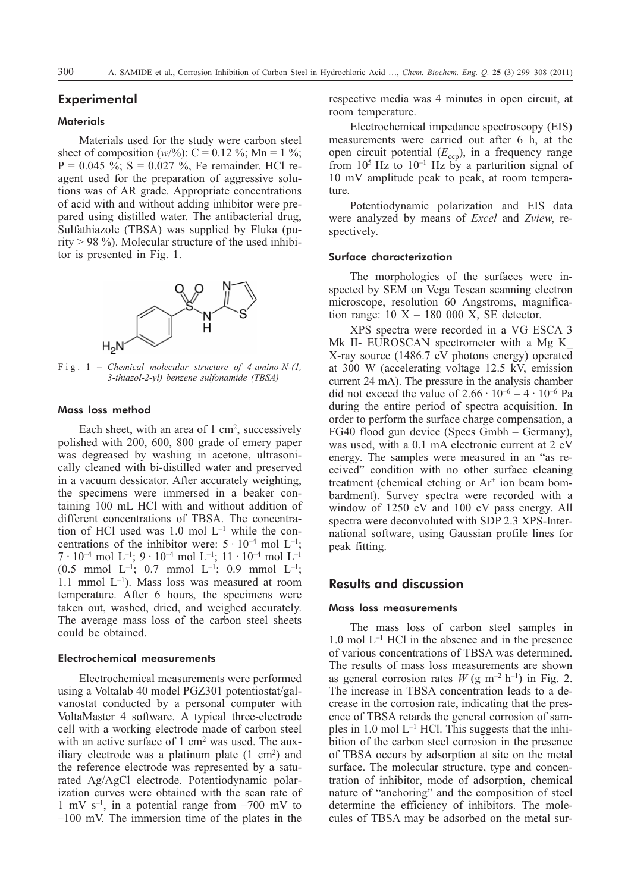# **Experimental**

### **Materials**

Materials used for the study were carbon steel sheet of composition  $(w/\%)$ : C = 0.12 %; Mn = 1 %;  $P = 0.045$  %; S = 0.027 %, Fe remainder. HCl reagent used for the preparation of aggressive solutions was of AR grade. Appropriate concentrations of acid with and without adding inhibitor were prepared using distilled water. The antibacterial drug, Sulfathiazole (TBSA) was supplied by Fluka (purity  $> 98$  %). Molecular structure of the used inhibitor is presented in Fig. 1.



*3-thiazol-2-yl) benzene sulfonamide (TBSA)*

# Mass loss method

Each sheet, with an area of  $1 \text{ cm}^2$ , successively polished with 200, 600, 800 grade of emery paper was degreased by washing in acetone, ultrasonically cleaned with bi-distilled water and preserved in a vacuum dessicator. After accurately weighting, the specimens were immersed in a beaker containing 100 mL HCl with and without addition of different concentrations of TBSA. The concentration of HCl used was  $1.0$  mol  $L^{-1}$  while the concentrations of the inhibitor were:  $5 \cdot 10^{-4}$  mol L<sup>-1</sup>;  $7 \cdot 10^{-4}$  mol  $L^{-1}$ ;  $9 \cdot 10^{-4}$  mol  $L^{-1}$ ;  $11 \cdot 10^{-4}$  mol  $L^{-1}$ (0.5 mmol  $L^{-1}$ ; 0.7 mmol  $L^{-1}$ ; 0.9 mmol  $L^{-1}$ ; 1.1 mmol  $L^{-1}$ ). Mass loss was measured at room temperature. After 6 hours, the specimens were taken out, washed, dried, and weighed accurately. The average mass loss of the carbon steel sheets could be obtained.

# Electrochemical measurements

Electrochemical measurements were performed using a Voltalab 40 model PGZ301 potentiostat/galvanostat conducted by a personal computer with VoltaMaster 4 software. A typical three-electrode cell with a working electrode made of carbon steel with an active surface of 1 cm<sup>2</sup> was used. The auxiliary electrode was a platinum plate  $(1 \text{ cm}^2)$  and the reference electrode was represented by a saturated Ag/AgCl electrode. Potentiodynamic polarization curves were obtained with the scan rate of 1 mV  $s^{-1}$ , in a potential range from  $-700$  mV to –100 mV. The immersion time of the plates in the respective media was 4 minutes in open circuit, at room temperature.

Electrochemical impedance spectroscopy (EIS) measurements were carried out after 6 h, at the open circuit potential  $(E_{\text{ocp}})$ , in a frequency range from  $10^5$  Hz to  $10^{-1}$  Hz by a parturition signal of 10 mV amplitude peak to peak, at room temperature.

Potentiodynamic polarization and EIS data were analyzed by means of *Excel* and *Zview*, respectively.

## Surface characterization

The morphologies of the surfaces were inspected by SEM on Vega Tescan scanning electron microscope, resolution 60 Angstroms, magnification range:  $10 X - 180 000 X$ , SE detector.

XPS spectra were recorded in a VG ESCA 3 Mk II- EUROSCAN spectrometer with a Mg K X-ray source (1486.7 eV photons energy) operated at 300 W (accelerating voltage 12.5 kV, emission current 24 mA). The pressure in the analysis chamber did not exceed the value of  $2.66 \cdot 10^{-6} - 4 \cdot 10^{-6}$  Pa during the entire period of spectra acquisition. In order to perform the surface charge compensation, a FG40 flood gun device (Specs Gmbh – Germany), was used, with a 0.1 mA electronic current at 2 eV energy. The samples were measured in an "as received" condition with no other surface cleaning treatment (chemical etching or  $Ar^+$  ion beam bombardment). Survey spectra were recorded with a window of 1250 eV and 100 eV pass energy. All spectra were deconvoluted with SDP 2.3 XPS-International software, using Gaussian profile lines for peak fitting.

# **Results and discussion**

### Mass loss measurements

The mass loss of carbon steel samples in  $1.0$  mol  $L^{-1}$  HCl in the absence and in the presence of various concentrations of TBSA was determined. The results of mass loss measurements are shown as general corrosion rates  $W$  (g m<sup>-2</sup> h<sup>-1</sup>) in Fig. 2. The increase in TBSA concentration leads to a decrease in the corrosion rate, indicating that the presence of TBSA retards the general corrosion of samples in 1.0 mol  $L^{-1}$  HCl. This suggests that the inhibition of the carbon steel corrosion in the presence of TBSA occurs by adsorption at site on the metal surface. The molecular structure, type and concentration of inhibitor, mode of adsorption, chemical nature of "anchoring" and the composition of steel determine the efficiency of inhibitors. The molecules of TBSA may be adsorbed on the metal sur-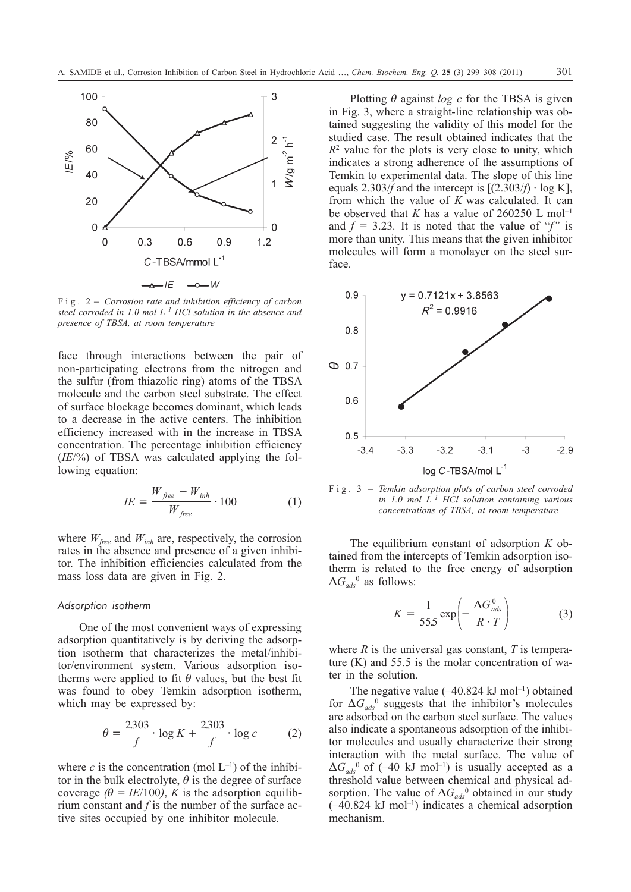

*steel corroded in 1.0 mol L–1 HCl solution in the absence and presence of TBSA, at room temperature*

face through interactions between the pair of non-participating electrons from the nitrogen and the sulfur (from thiazolic ring) atoms of the TBSA molecule and the carbon steel substrate. The effect of surface blockage becomes dominant, which leads to a decrease in the active centers. The inhibition efficiency increased with in the increase in TBSA concentration. The percentage inhibition efficiency (*IE*/%) of TBSA was calculated applying the following equation:

$$
IE = \frac{W_{free} - W_{inh}}{W_{free}} \cdot 100\tag{1}
$$

where  $W_{\text{free}}$  and  $W_{\text{inh}}$  are, respectively, the corrosion rates in the absence and presence of a given inhibitor. The inhibition efficiencies calculated from the mass loss data are given in Fig. 2.

#### *Adsorption isotherm*

One of the most convenient ways of expressing adsorption quantitatively is by deriving the adsorption isotherm that characterizes the metal/inhibitor/environment system. Various adsorption isotherms were applied to fit  $\theta$  values, but the best fit was found to obey Temkin adsorption isotherm, which may be expressed by:

$$
\theta = \frac{2303}{f} \cdot \log K + \frac{2303}{f} \cdot \log c \tag{2}
$$

where *c* is the concentration (mol  $L^{-1}$ ) of the inhibitor in the bulk electrolyte,  $\theta$  is the degree of surface coverage  $(\theta = IE/100)$ , *K* is the adsorption equilibrium constant and *f* is the number of the surface active sites occupied by one inhibitor molecule.

Plotting  $\theta$  against *log c* for the TBSA is given in Fig. 3, where a straight-line relationship was obtained suggesting the validity of this model for the studied case. The result obtained indicates that the  $R<sup>2</sup>$  value for the plots is very close to unity, which indicates a strong adherence of the assumptions of Temkin to experimental data. The slope of this line equals 2.303/*f* and the intercept is  $[(2.303/f) \cdot \log K]$ , from which the value of *K* was calculated. It can be observed that *K* has a value of  $260250$  L mol<sup>-1</sup> and  $f = 3.23$ . It is noted that the value of "*f*" is more than unity. This means that the given inhibitor molecules will form a monolayer on the steel surface.



*in 1.0 mol L–1 HCl solution containing various concentrations of TBSA, at room temperature*

The equilibrium constant of adsorption *K* obtained from the intercepts of Temkin adsorption isotherm is related to the free energy of adsorption  $\Delta G_{ads}^0$ <sup>0</sup> as follows:

$$
K = \frac{1}{55.5} \exp\left(-\frac{\Delta G_{ads}^0}{R \cdot T}\right) \tag{3}
$$

where *R* is the universal gas constant, *T* is temperature (K) and 55.5 is the molar concentration of water in the solution.

The negative value  $(-40.824 \text{ kJ mol}^{-1})$  obtained for  $\Delta G_{ads}$ <sup>0</sup> suggests that the inhibitor's molecules are adsorbed on the carbon steel surface. The values also indicate a spontaneous adsorption of the inhibitor molecules and usually characterize their strong interaction with the metal surface. The value of  $\Delta G_{ads}$ <sup>0</sup> of (–40 kJ mol<sup>-1</sup>) is usually accepted as a threshold value between chemical and physical adsorption. The value of  $\Delta G_{ads}^0$  obtained in our study  $(-40.824 \text{ kJ mol}^{-1})$  indicates a chemical adsorption mechanism.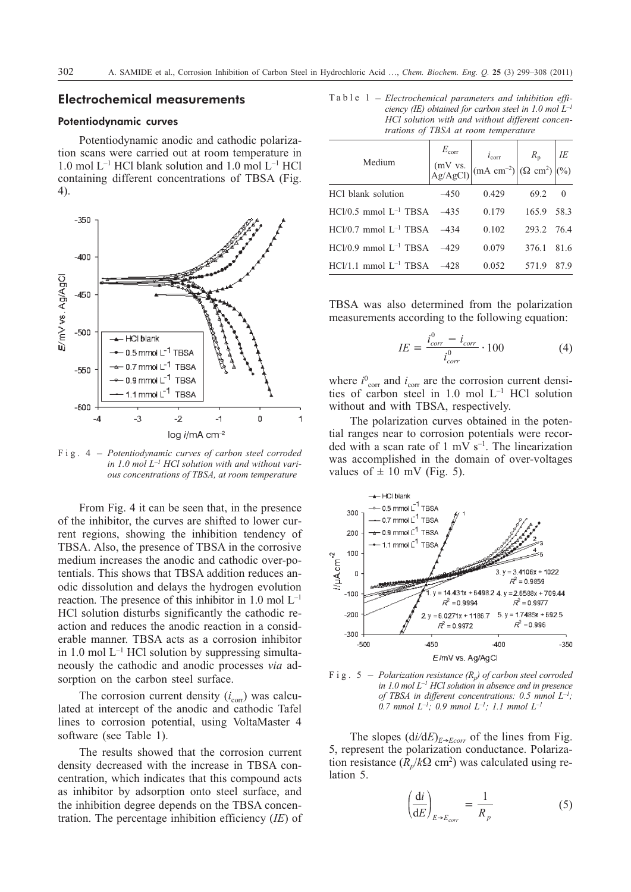# **Electrochemical measurements**

# Potentiodynamic curves

Potentiodynamic anodic and cathodic polarization scans were carried out at room temperature in 1.0 mol  $L^{-1}$  HCl blank solution and 1.0 mol  $L^{-1}$  HCl containing different concentrations of TBSA (Fig. 4).



*in 1.0 mol L–1 HCl solution with and without various concentrations of TBSA, at room temperature*

From Fig. 4 it can be seen that, in the presence of the inhibitor, the curves are shifted to lower current regions, showing the inhibition tendency of TBSA. Also, the presence of TBSA in the corrosive medium increases the anodic and cathodic over-potentials. This shows that TBSA addition reduces anodic dissolution and delays the hydrogen evolution reaction. The presence of this inhibitor in  $1.0 \text{ mol } L^{-1}$ HCl solution disturbs significantly the cathodic reaction and reduces the anodic reaction in a considerable manner. TBSA acts as a corrosion inhibitor in 1.0 mol  $L^{-1}$  HCl solution by suppressing simultaneously the cathodic and anodic processes *via* adsorption on the carbon steel surface.

The corrosion current density  $(i_{\text{corr}})$  was calculated at intercept of the anodic and cathodic Tafel lines to corrosion potential, using VoltaMaster 4 software (see Table 1).

The results showed that the corrosion current density decreased with the increase in TBSA concentration, which indicates that this compound acts as inhibitor by adsorption onto steel surface, and the inhibition degree depends on the TBSA concentration. The percentage inhibition efficiency (*IE*) of

Table 1 – *Electrochemical parameters and inhibition efficiency (IE) obtained for carbon steel in 1.0 mol L–1 HCl solution with and without different concentrations of TBSA at room temperature*

| Medium                              | $E_{\rm corr}$ | $\begin{array}{c c} \mathcal{L}_{\text{corr}} & i_{\text{corr}} \\ (mV vs. \\ Ag/AgCl) \end{array} \begin{pmatrix} i_{\text{corr}} \\ (mA cm^{-2}) \end{pmatrix} \begin{pmatrix} R_{\text{p}} \\ (\Omega cm^{2}) \end{pmatrix} \begin{pmatrix} I E \\ (\%) \end{pmatrix}$ |            |          |
|-------------------------------------|----------------|---------------------------------------------------------------------------------------------------------------------------------------------------------------------------------------------------------------------------------------------------------------------------|------------|----------|
| HCl blank solution                  | $-450$         | 0.429                                                                                                                                                                                                                                                                     | 69.2       | $\theta$ |
| $HC1/0.5$ mmol $L^{-1}$ TBSA $-435$ |                | 0.179                                                                                                                                                                                                                                                                     | 165.9 58.3 |          |
| $HC1/0.7$ mmol $L^{-1}$ TBSA $-434$ |                | 0.102                                                                                                                                                                                                                                                                     | 293.2 76.4 |          |
| $HC1/0.9$ mmol $L^{-1}$ TBSA $-429$ |                | 0.079                                                                                                                                                                                                                                                                     | 376.1 81.6 |          |
| $HC1/1.1$ mmol $L^{-1}$ TBSA $-428$ |                | 0.052                                                                                                                                                                                                                                                                     | 571.9      | 87.9     |

TBSA was also determined from the polarization measurements according to the following equation:

$$
IE = \frac{i_{corr}^{0} - i_{corr}}{i_{corr}^{0}} \cdot 100
$$
 (4)

where  $i_{\text{corr}}^0$  and  $i_{\text{corr}}$  are the corrosion current densities of carbon steel in  $1.0$  mol  $L^{-1}$  HCl solution without and with TBSA, respectively.

The polarization curves obtained in the potential ranges near to corrosion potentials were recorded with a scan rate of 1 mV  $s^{-1}$ . The linearization was accomplished in the domain of over-voltages values of  $\pm$  10 mV (Fig. 5).



*in 1.0 mol L–1 HCl solution in absence and in presence of TBSA in different concentrations: 0.5 mmol L–1; 0.7 mmol L–1; 0.9 mmol L–1; 1.1 mmol L–1*

The slopes  $\left(\frac{di}{dE}\right)_{E \to Ecorr}$  of the lines from Fig. 5, represent the polarization conductance. Polarization resistance  $(R_n/k\Omega \text{ cm}^2)$  was calculated using relation 5.

$$
\left(\frac{\mathrm{d}i}{\mathrm{d}E}\right)_{E \to E_{corr}} = \frac{1}{R_p} \tag{5}
$$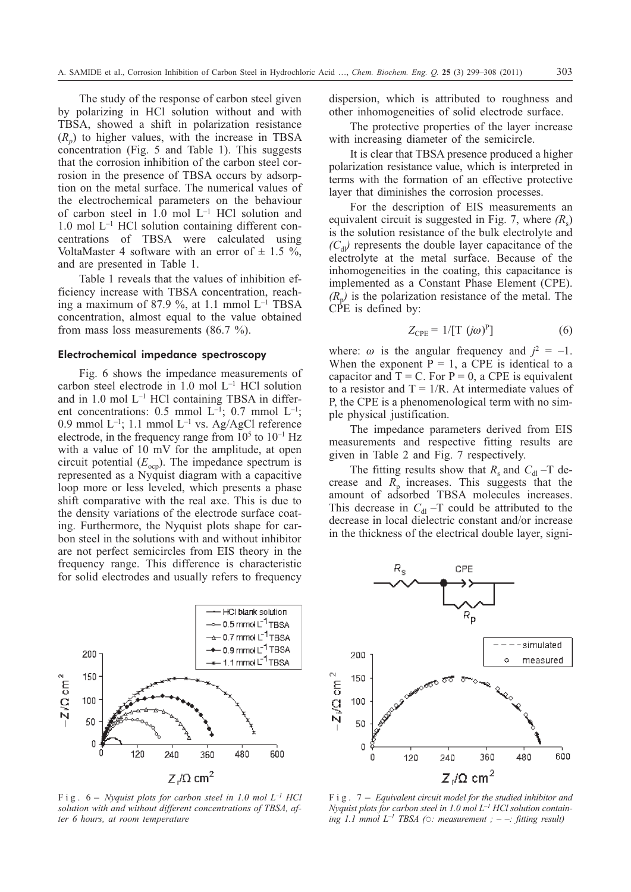The study of the response of carbon steel given by polarizing in HCl solution without and with TBSA, showed a shift in polarization resistance  $(R_n)$  to higher values, with the increase in TBSA concentration (Fig. 5 and Table 1). This suggests that the corrosion inhibition of the carbon steel corrosion in the presence of TBSA occurs by adsorption on the metal surface. The numerical values of the electrochemical parameters on the behaviour of carbon steel in 1.0 mol L–1 HCl solution and  $1.0$  mol  $L^{-1}$  HCl solution containing different concentrations of TBSA were calculated using VoltaMaster 4 software with an error of  $\pm$  1.5 %, and are presented in Table 1.

Table 1 reveals that the values of inhibition efficiency increase with TBSA concentration, reaching a maximum of 87.9 %, at 1.1 mmol  $L^{-1}$  TBSA concentration, almost equal to the value obtained from mass loss measurements (86.7 %).

# Electrochemical impedance spectroscopy

Fig. 6 shows the impedance measurements of carbon steel electrode in 1.0 mol L–1 HCl solution and in  $1.0$  mol  $L^{-1}$  HCl containing TBSA in different concentrations: 0.5 mmol  $L^{-1}$ ; 0.7 mmol  $L^{-1}$ ; 0.9 mmol  $L^{-1}$ ; 1.1 mmol  $L^{-1}$  vs. Ag/AgCl reference electrode, in the frequency range from  $10^5$  to  $10^{-1}$  Hz with a value of 10 mV for the amplitude, at open circuit potential  $(E_{\text{con}})$ . The impedance spectrum is represented as a Nyquist diagram with a capacitive loop more or less leveled, which presents a phase shift comparative with the real axe. This is due to the density variations of the electrode surface coating. Furthermore, the Nyquist plots shape for carbon steel in the solutions with and without inhibitor are not perfect semicircles from EIS theory in the frequency range. This difference is characteristic for solid electrodes and usually refers to frequency



*solution with and without different concentrations of TBSA, after 6 hours, at room temperature*

dispersion, which is attributed to roughness and other inhomogeneities of solid electrode surface.

The protective properties of the layer increase with increasing diameter of the semicircle.

It is clear that TBSA presence produced a higher polarization resistance value, which is interpreted in terms with the formation of an effective protective layer that diminishes the corrosion processes.

For the description of EIS measurements an equivalent circuit is suggested in Fig. 7, where  $(R_s)$ is the solution resistance of the bulk electrolyte and  $(C_{\rm d} \nu)$  represents the double layer capacitance of the electrolyte at the metal surface. Because of the inhomogeneities in the coating, this capacitance is implemented as a Constant Phase Element (CPE).  $(R_n)$  is the polarization resistance of the metal. The CPE is defined by:

$$
Z_{\rm CPE} = 1/[\text{T} \ (\mathit{j}\omega)^{\rm P}] \tag{6}
$$

where:  $\omega$  is the angular frequency and  $j^2 = -1$ . When the exponent  $P = 1$ , a CPE is identical to a capacitor and  $T = C$ . For  $P = 0$ , a CPE is equivalent to a resistor and  $T = 1/R$ . At intermediate values of P, the CPE is a phenomenological term with no simple physical justification.

The impedance parameters derived from EIS measurements and respective fitting results are given in Table 2 and Fig. 7 respectively.

The fitting results show that  $R_s$  and  $C_{\rm dl}$  –T decrease and  $R_p$  increases. This suggests that the amount of adsorbed TBSA molecules increases. This decrease in  $C_{\rm dl}$  –T could be attributed to the decrease in local dielectric constant and/or increase in the thickness of the electrical double layer, signi-



*Nyquist plots for carbon steel in 1.0 mol L–1 HCl solution contain-* $\int$ *ing 1.1 mmol L<sup>-1</sup> TBSA* ( $\odot$ : *measurement* ; - -: *fitting result)*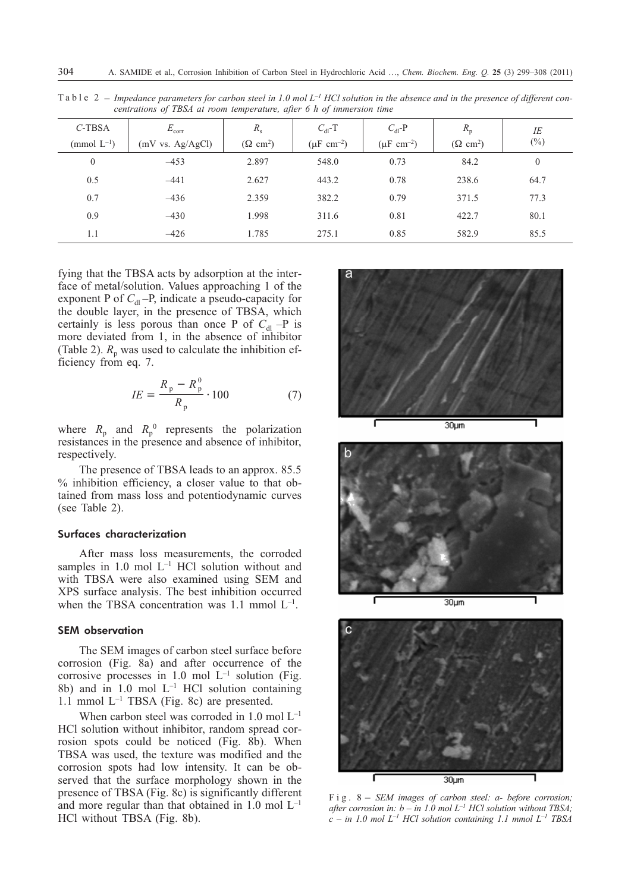| $C$ -TBSA        | $E_{\rm corr}$   | $R_{\rm s}$                 | $C_{\rm dl}$ -T           | $C_{\rm dl}$ -P           | $R_{\rm p}$                 | ΙE           |
|------------------|------------------|-----------------------------|---------------------------|---------------------------|-----------------------------|--------------|
| (mmol $L^{-1}$ ) | (mV vs. Ag/AgCl) | $(\Omega$ cm <sup>2</sup> ) | $(\mu F \text{ cm}^{-2})$ | $(\mu F \text{ cm}^{-2})$ | $(\Omega$ cm <sup>2</sup> ) | $(\%)$       |
| $\mathbf{0}$     | $-453$           | 2.897                       | 548.0                     | 0.73                      | 84.2                        | $\mathbf{0}$ |
| 0.5              | $-441$           | 2.627                       | 443.2                     | 0.78                      | 238.6                       | 64.7         |
| 0.7              | $-436$           | 2.359                       | 382.2                     | 0.79                      | 371.5                       | 77.3         |
| 0.9              | $-430$           | 1.998                       | 311.6                     | 0.81                      | 422.7                       | 80.1         |
| 1.1              | $-426$           | 1.785                       | 275.1                     | 0.85                      | 582.9                       | 85.5         |

Table 2 – *Impedance parameters for carbon steel in 1.0 mol L–1 HCl solution in the absence and in the presence of different concentrations of TBSA at room temperature, after 6 h of immersion time*

fying that the TBSA acts by adsorption at the interface of metal/solution. Values approaching 1 of the exponent P of  $C_{d}$  –P, indicate a pseudo-capacity for the double layer, in the presence of TBSA, which certainly is less porous than once P of  $C_{d}$  –P is more deviated from 1, in the absence of inhibitor (Table 2).  $R_p$  was used to calculate the inhibition efficiency from eq. 7.

$$
IE = \frac{R_p - R_p^0}{R_p} \cdot 100\tag{7}
$$

where  $R_p$  and  $R_p^0$  represents the polarization resistances in the presence and absence of inhibitor, respectively.

The presence of TBSA leads to an approx. 85.5 % inhibition efficiency, a closer value to that obtained from mass loss and potentiodynamic curves (see Table 2).

#### Surfaces characterization

After mass loss measurements, the corroded samples in  $1.0$  mol  $L^{-1}$  HCl solution without and with TBSA were also examined using SEM and XPS surface analysis. The best inhibition occurred when the TBSA concentration was  $1.1$  mmol  $L^{-1}$ .

# SEM observation

The SEM images of carbon steel surface before corrosion (Fig. 8a) and after occurrence of the corrosive processes in 1.0 mol  $L^{-1}$  solution (Fig. 8b) and in 1.0 mol  $L^{-1}$  HCl solution containing 1.1 mmol  $L^{-1}$  TBSA (Fig. 8c) are presented.

When carbon steel was corroded in  $1.0$  mol  $L^{-1}$ HCl solution without inhibitor, random spread corrosion spots could be noticed (Fig. 8b). When TBSA was used, the texture was modified and the corrosion spots had low intensity. It can be observed that the surface morphology shown in the presence of TBSA (Fig. 8c) is significantly different and more regular than that obtained in  $1.0 \text{ mol } L^{-1}$ HCl without TBSA (Fig. 8b).







*after corrosion in: b – in 1.0 mol*  $L^{-1}$  *HCl solution without TBSA; c – in 1.0 mol L–1 HCl solution containing 1.1 mmol L–1 TBSA*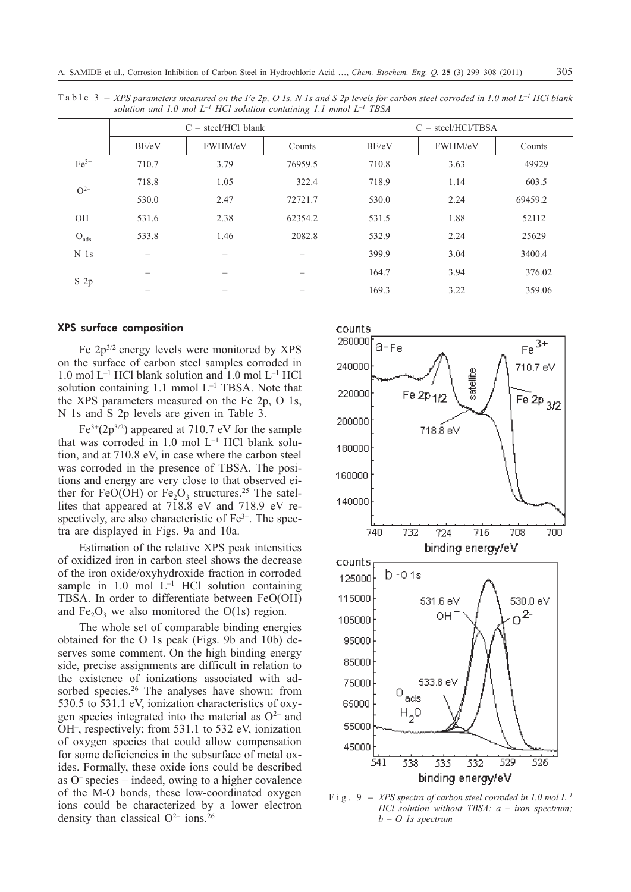|                 | $C -$ steel/HCl blank |         |         | $C - steel/HCl/TBSA$ |         |         |  |
|-----------------|-----------------------|---------|---------|----------------------|---------|---------|--|
|                 | BE/eV                 | FWHM/eV | Counts  | BE/eV                | FWHM/eV | Counts  |  |
| $Fe3+$          | 710.7                 | 3.79    | 76959.5 | 710.8                | 3.63    | 49929   |  |
| $O^{2-}$        | 718.8                 | 1.05    | 322.4   | 718.9                | 1.14    | 603.5   |  |
|                 | 530.0                 | 2.47    | 72721.7 | 530.0                | 2.24    | 69459.2 |  |
| $OH^-$          | 531.6                 | 2.38    | 62354.2 | 531.5                | 1.88    | 52112   |  |
| $O_{ads}$       | 533.8                 | 1.46    | 2082.8  | 532.9                | 2.24    | 25629   |  |
| N <sub>1s</sub> |                       |         |         | 399.9                | 3.04    | 3400.4  |  |
| S <sub>2p</sub> |                       |         |         | 164.7                | 3.94    | 376.02  |  |
|                 |                       |         |         | 169.3                | 3.22    | 359.06  |  |

Table 3 – *XPS parameters measured on the Fe 2p, O 1s, N 1s and S 2p levels for carbon steel corroded in 1.0 mol L–1 HCl blank solution and 1.0 mol L–1 HCl solution containing 1.1 mmol L–1 TBSA*

#### XPS surface composition

Fe 2p3/2 energy levels were monitored by XPS on the surface of carbon steel samples corroded in 1.0 mol L–1 HCl blank solution and 1.0 mol L–1 HCl solution containing 1.1 mmol  $L^{-1}$  TBSA. Note that the XPS parameters measured on the Fe 2p, O 1s, N 1s and S 2p levels are given in Table 3.

 $Fe^{3+}(2p^{3/2})$  appeared at 710.7 eV for the sample that was corroded in 1.0 mol  $L^{-1}$  HCl blank solution, and at 710.8 eV, in case where the carbon steel was corroded in the presence of TBSA. The positions and energy are very close to that observed either for FeO(OH) or Fe<sub>2</sub>O<sub>3</sub> structures.<sup>25</sup> The satellites that appeared at 718.8 eV and 718.9 eV respectively, are also characteristic of  $Fe<sup>3+</sup>$ . The spectra are displayed in Figs. 9a and 10a.

Estimation of the relative XPS peak intensities of oxidized iron in carbon steel shows the decrease of the iron oxide/oxyhydroxide fraction in corroded sample in 1.0 mol  $L^{-1}$  HCl solution containing TBSA. In order to differentiate between FeO(OH) and  $Fe<sub>2</sub>O<sub>3</sub>$  we also monitored the O(1s) region.

The whole set of comparable binding energies obtained for the O 1s peak (Figs. 9b and 10b) deserves some comment. On the high binding energy side, precise assignments are difficult in relation to the existence of ionizations associated with adsorbed species.<sup>26</sup> The analyses have shown: from 530.5 to 531.1 eV, ionization characteristics of oxygen species integrated into the material as  $O^{2-}$  and OH–, respectively; from 531.1 to 532 eV, ionization of oxygen species that could allow compensation for some deficiencies in the subsurface of metal oxides. Formally, these oxide ions could be described as  $O<sup>-</sup>$  species – indeed, owing to a higher covalence of the M-O bonds, these low-coordinated oxygen ions could be characterized by a lower electron density than classical  $O^{2-}$  ions.<sup>26</sup>



*HCl solution without TBSA: a – iron spectrum; b – O 1s spectrum*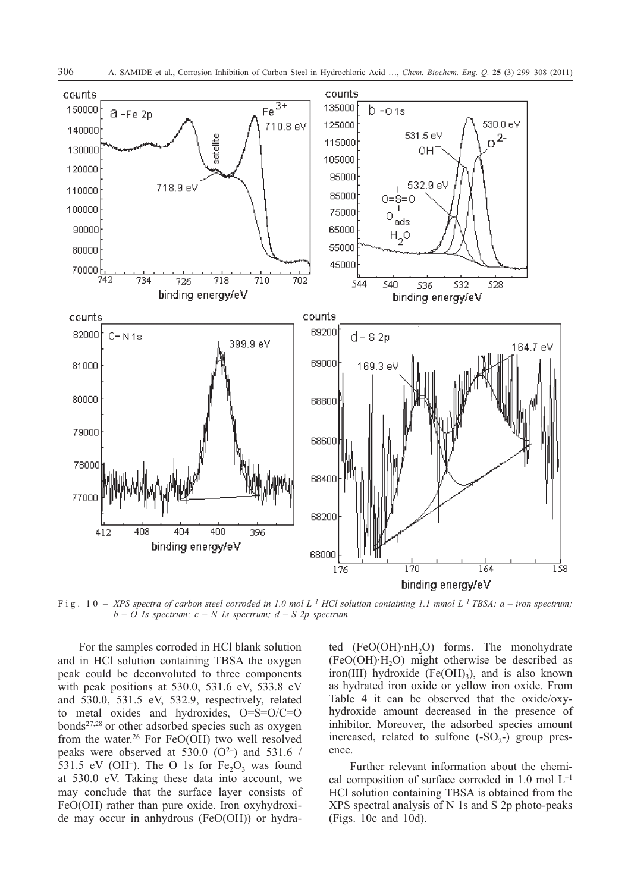

*b – O 1s spectrum; c – N 1s spectrum; d – S 2p spectrum*

For the samples corroded in HCl blank solution and in HCl solution containing TBSA the oxygen peak could be deconvoluted to three components with peak positions at 530.0, 531.6 eV, 533.8 eV and 530.0, 531.5 eV, 532.9, respectively, related to metal oxides and hydroxides, O=S=O/C=O bonds27,28 or other adsorbed species such as oxygen from the water.26 For FeO(OH) two well resolved peaks were observed at 530.0  $(O^{2-})$  and 531.6 / 531.5 eV (OH<sup>-</sup>). The O 1s for  $Fe<sub>2</sub>O<sub>3</sub>$  was found at 530.0 eV. Taking these data into account, we may conclude that the surface layer consists of FeO(OH) rather than pure oxide. Iron oxyhydroxide may occur in anhydrous (FeO(OH)) or hydrated  $(FeO(OH) \cdot nH_2O)$  forms. The monohydrate  $(FeO(OH)·H<sub>2</sub>O)$  might otherwise be described as iron(III) hydroxide (Fe(OH)<sub>3</sub>), and is also known as hydrated iron oxide or yellow iron oxide. From Table 4 it can be observed that the oxide/oxyhydroxide amount decreased in the presence of inhibitor. Moreover, the adsorbed species amount increased, related to sulfone  $(-SO<sub>2</sub>-)$  group presence.

Further relevant information about the chemical composition of surface corroded in  $1.0$  mol  $L^{-1}$ HCl solution containing TBSA is obtained from the XPS spectral analysis of N 1s and S 2p photo-peaks (Figs. 10c and 10d).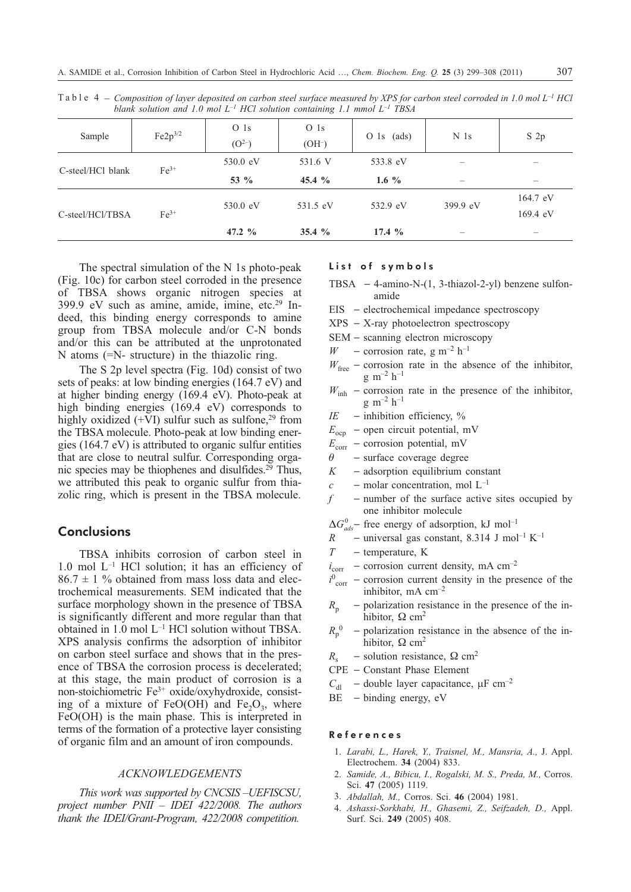| Sample            | $Fe2p^{3/2}$ | O <sub>1s</sub><br>(O <sup>2–</sup> ) | O <sub>1s</sub><br>$(OH-)$ | $O$ 1s (ads) | N <sub>1s</sub>   | S <sub>2p</sub>    |
|-------------------|--------------|---------------------------------------|----------------------------|--------------|-------------------|--------------------|
| C-steel/HCl blank | $Fe3+$       | 530.0 eV                              | 531.6 V                    | 533.8 eV     |                   |                    |
|                   |              | 53 $\%$                               | 45.4 $\%$                  | 1.6 $\%$     | $\hspace{0.05cm}$ |                    |
|                   | $Fe3+$       | 530.0 eV                              | 531.5 eV                   | 532.9 eV     | 399.9 eV          | 164.7 eV           |
| C-steel/HCl/TBSA  |              |                                       |                            |              |                   | $169.4 \text{ eV}$ |
|                   |              | 47.2 $\%$                             | 35.4 $%$                   | 17.4 $%$     |                   |                    |

Table 4 – *Composition of layer deposited on carbon steel surface measured by XPS for carbon steel corroded in 1.0 mol L–1 HCl blank solution and 1.0 mol L–1 HCl solution containing 1.1 mmol L–1 TBSA*

The spectral simulation of the N 1s photo-peak (Fig. 10c) for carbon steel corroded in the presence of TBSA shows organic nitrogen species at 399.9 eV such as amine, amide, imine, etc.29 Indeed, this binding energy corresponds to amine group from TBSA molecule and/or C-N bonds and/or this can be attributed at the unprotonated N atoms (=N- structure) in the thiazolic ring.

The S 2p level spectra (Fig. 10d) consist of two sets of peaks: at low binding energies (164.7 eV) and at higher binding energy (169.4 eV). Photo-peak at high binding energies (169.4 eV) corresponds to highly oxidized  $(+V)$  sulfur such as sulfone,<sup>29</sup> from the TBSA molecule. Photo-peak at low binding energies (164.7 eV) is attributed to organic sulfur entities that are close to neutral sulfur. Corresponding organic species may be thiophenes and disulfides. $2^9$  Thus, we attributed this peak to organic sulfur from thiazolic ring, which is present in the TBSA molecule.

# **Conclusions**

TBSA inhibits corrosion of carbon steel in 1.0 mol  $L^{-1}$  HCl solution; it has an efficiency of  $86.7 \pm 1$  % obtained from mass loss data and electrochemical measurements. SEM indicated that the surface morphology shown in the presence of TBSA is significantly different and more regular than that obtained in 1.0 mol L–1 HCl solution without TBSA. XPS analysis confirms the adsorption of inhibitor on carbon steel surface and shows that in the presence of TBSA the corrosion process is decelerated; at this stage, the main product of corrosion is a non-stoichiometric Fe3+ oxide/oxyhydroxide, consisting of a mixture of FeO(OH) and Fe<sub>2</sub>O<sub>3</sub>, where FeO(OH) is the main phase. This is interpreted in terms of the formation of a protective layer consisting of organic film and an amount of iron compounds.

# *ACKNOWLEDGEMENTS*

*This work was supported by CNCSIS –UEFISCSU, project number PNII – IDEI 422/2008. The authors thank the IDEI/Grant-Program, 422/2008 competition.*

# List of symbols

- TBSA  $-4$ -amino-N- $(1, 3$ -thiazol-2-yl) benzene sulfonamide
- $EIS$  electrochemical impedance spectroscopy
- $XPS X-ray$  photoelectron spectroscopy
- $SEM scanning electron microscopy$
- *W* corrosion rate, g m<sup>-2</sup> h<sup>-1</sup>
- $W_{\text{free}}$  corrosion rate in the absence of the inhibitor,  $g \text{ m}^{-2} \text{ h}^{-1}$
- $W_{\text{inh}}$  corrosion rate in the presence of the inhibitor,  $g \, \text{m}^{-2} \, \text{h}^{-1}$
- $IE$  inhibition efficiency,  $\%$
- $E_{\text{ocp}}$  open circuit potential, mV
- $E_{\text{corr}}$  corrosion potential, mV<br> $\theta$  surface coverage degree
- surface coverage degree
- $K$  adsorption equilibrium constant
- $c$  molar concentration, mol  $L^{-1}$
- $f$  number of the surface active sites occupied by one inhibitor molecule

 $\Delta G_{ads}^0$  – free energy of adsorption, kJ mol<sup>-1</sup>

- *R* universal gas constant, 8.314 J mol<sup>-1</sup> K<sup>-1</sup>
- *T* temperature, K
- $i_{corr}$  corrosion current density, mA cm<sup>-2</sup>
- $i_{\text{corr}}^0$  corrosion current density in the presence of the inhibitor, mA  $\text{cm}^{-2}$
- $R_p$  polarization resistance in the presence of the inhibitor,  $\Omega$  cm<sup>2</sup>
- $R_{p}^{0}$ <sup>0</sup> polarization resistance in the absence of the inhibitor,  $\Omega$  cm<sup>2</sup>
- $R_s$  solution resistance,  $\Omega$  cm<sup>2</sup>
- CPE Constant Phase Element
- $C_{\text{dl}}$  double layer capacitance,  $\mu$ F cm<sup>-2</sup>
- $BE$  binding energy, eV

#### References

- 1. *Larabi, L., Harek, Y., Traisnel, M., Mansria, A.,* J. Appl. Electrochem. **34** (2004) 833.
- 2. *Samide, A., Bibicu, I., Rogalski, M. S., Preda, M.,* Corros. Sci. **47** (2005) 1119.
- 3. *Abdallah, M.,* Corros. Sci. **46** (2004) 1981.
- 4. *Ashassi-Sorkhabi, H., Ghasemi, Z., Seifzadeh, D.,* Appl. Surf. Sci. **249** (2005) 408.